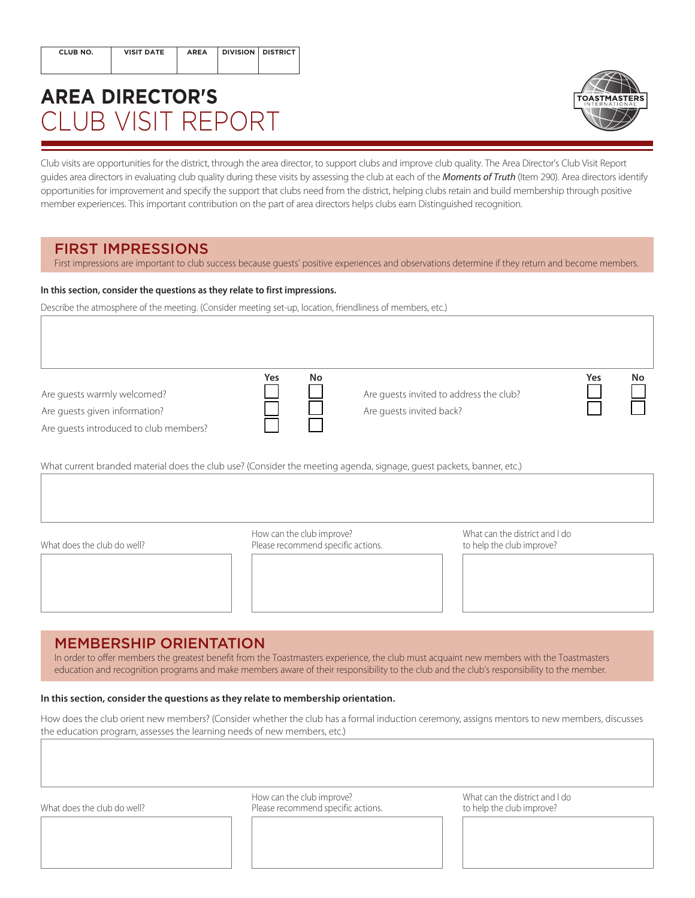| CLUB NO. | <b>VISIT DATE</b> | <b>AREA</b> | DIVISION DISTRICT |  |
|----------|-------------------|-------------|-------------------|--|
|          |                   |             |                   |  |

# **AREA DIRECTOR'S** CLUB VISIT REPORT



Club visits are opportunities for the district, through the area director, to support clubs and improve club quality. The Area Director's Club Visit Report guides area directors in evaluating club quality during these visits by assessing the club at each of the *[Moments of Truth](http://www.toastmasters.org/MomentsofTruth)* (Item 290). Area directors identify opportunities for improvement and specify the support that clubs need from the district, helping clubs retain and build membership through positive member experiences. This important contribution on the part of area directors helps clubs earn Distinguished recognition.

# FIRST IMPRESSIONS

First impressions are important to club success because guests' positive experiences and observations determine if they return and become members.

#### **In this section, consider the questions as they relate to first impressions.**

Describe the atmosphere of the meeting. (Consider meeting set-up, location, friendliness of members, etc.)

Are guests warmly welcomed? Are guests given information?

Are guests introduced to club members?

**Yes No**

Are guests invited to address the club? Are guests invited back?

| Yes | No |
|-----|----|
|     |    |
|     |    |

What current branded material does the club use? (Consider the meeting agenda, signage, guest packets, banner, etc.)



How can the club improve?<br>
Please recommend specific actions. 
What can the district and I do<br>
to help the club improve? What does the club do well? The club improve recommend specific actions.



# MEMBERSHIP ORIENTATION

In order to offer members the greatest benefit from the Toastmasters experience, the club must acquaint new members with the Toastmasters education and recognition programs and make members aware of their responsibility to the club and the club's responsibility to the member.

#### **In this section, consider the questions as they relate to membership orientation.**

How does the club orient new members? (Consider whether the club has a formal induction ceremony, assigns mentors to new members, discusses the education program, assesses the learning needs of new members, etc.)

What does the club do well? **Please recommend specific actions**. The to help the club improve?

How can the club improve? What can the district and I do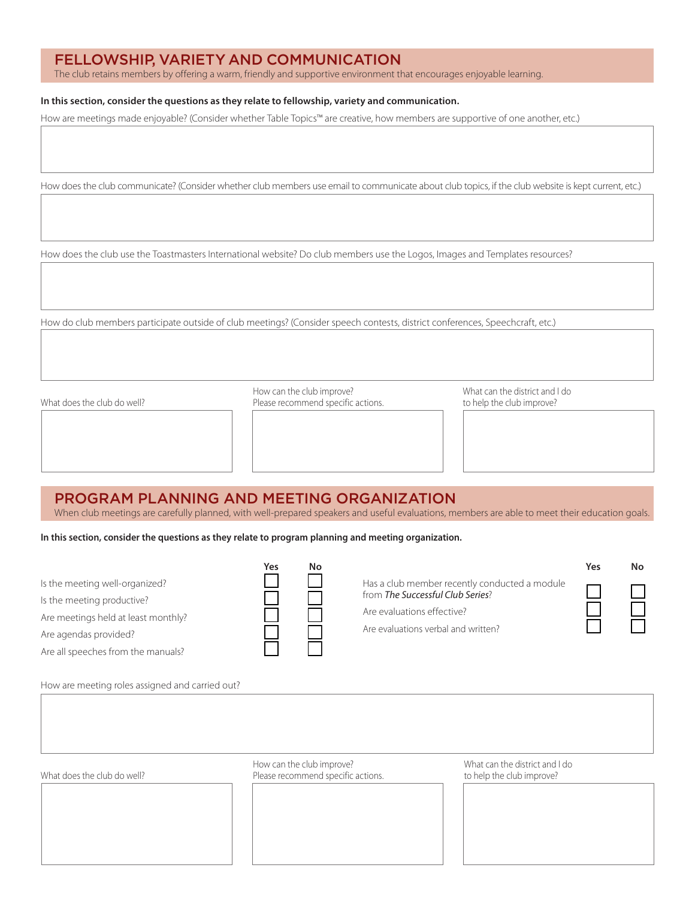# FELLOWSHIP, VARIETY AND COMMUNICATION

The club retains members by offering a warm, friendly and supportive environment that encourages enjoyable learning.

#### **In this section, consider the questions as they relate to fellowship, variety and communication.**

How are meetings made enjoyable? (Consider whether Table Topics™ are creative, how members are supportive of one another, etc.)

How does the club communicate? (Consider whether club members use email to communicate about club topics, if the club website is kept current, etc.)

How does the club use the Toastmasters International website? Do club members use the Logos, Images and Templates resources?

How do club members participate outside of club meetings? (Consider speech contests, district conferences, Speechcraft, etc.)

What does the club do well? **Please recommend specific actions**. The storehend to help the club improve?

How can the club improve? What can the district and I do

## PROGRAM PLANNING AND MEETING ORGANIZATION

When club meetings are carefully planned, with well-prepared speakers and useful evaluations, members are able to meet their education goals.

**In this section, consider the questions as they relate to program planning and meeting organization.**

**Yes No**

Is the meeting well-organized? Is the meeting productive? Are meetings held at least monthly? Are agendas provided?

Are all speeches from the manuals?

Has a club member recently conducted a module from *The [Successful Club Series](http://www.toastmasters.org/289)*? Are evaluations effective? Are evaluations verbal and written?

**Yes No**

How are meeting roles assigned and carried out?

| What does the club do well? | How can the club improve?<br>Please recommend specific actions. | What can the district and I do<br>to help the club improve? |
|-----------------------------|-----------------------------------------------------------------|-------------------------------------------------------------|
|                             |                                                                 |                                                             |
|                             |                                                                 |                                                             |
|                             |                                                                 |                                                             |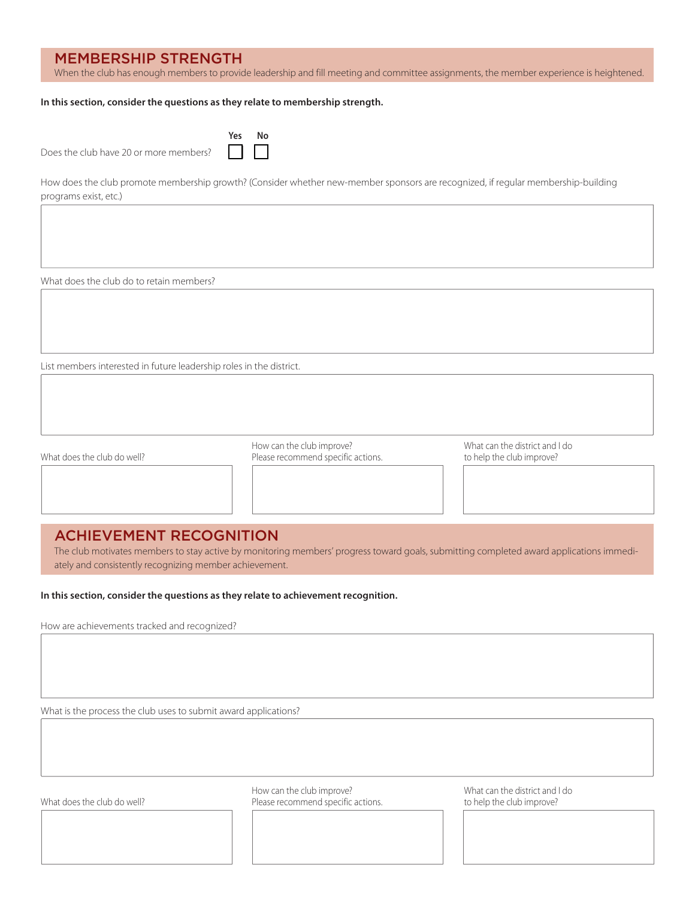## MEMBERSHIP STRENGTH

When the club has enough members to provide leadership and fill meeting and committee assignments, the member experience is heightened.

#### **In this section, consider the questions as they relate to membership strength.**

|                                        | Yes No |  |
|----------------------------------------|--------|--|
| Does the club have 20 or more members? |        |  |

How does the club promote membership growth? (Consider whether new-member sponsors are recognized, if regular membership-building programs exist, etc.)

What does the club do to retain members?

List members interested in future leadership roles in the district.

How can the club improve? What can the district and I do What does the club do well? **Please recommend specific actions**. The to help the club improve?

## ACHIEVEMENT RECOGNITION

The club motivates members to stay active by monitoring members' progress toward goals, submitting completed award applications immediately and consistently recognizing member achievement.

**In this section, consider the questions as they relate to achievement recognition.**

How are achievements tracked and recognized?

What is the process the club uses to submit award applications?

How can the club improve? What can the district and I do What does the club do well? **Please recommend specific actions**. The to help the club improve?